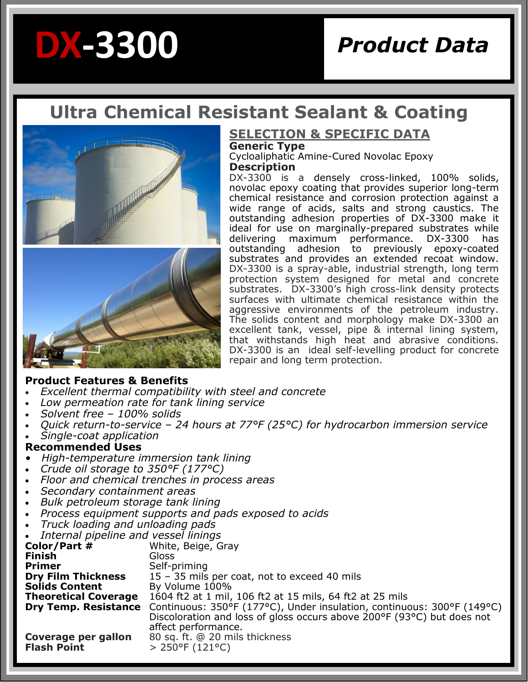# *Product Data* **DX-3300**

## **Ultra Chemical Resistant Sealant & Coating**



### **SELECTION & SPECIFIC DATA Generic Type**

Cycloaliphatic Amine-Cured Novolac Epoxy **Description**

DX-3300 is a densely cross-linked, 100% solids, novolac epoxy coating that provides superior long-term chemical resistance and corrosion protection against a wide range of acids, salts and strong caustics. The outstanding adhesion properties of DX-3300 make it ideal for use on marginally-prepared substrates while delivering maximum performance. DX-3300 has<br>outstanding adhesion to previously epoxy-coated outstanding adhesion to previously epoxy-coated substrates and provides an extended recoat window. DX-3300 is a spray-able, industrial strength, long term protection system designed for metal and concrete substrates. DX-3300's high cross-link density protects surfaces with ultimate chemical resistance within the aggressive environments of the petroleum industry. The solids content and morphology make DX-3300 an excellent tank, vessel, pipe & internal lining system, that withstands high heat and abrasive conditions. DX-3300 is an ideal self-levelling product for concrete repair and long term protection.

#### **Product Features & Benefits**

- *Excellent thermal compatibility with steel and concrete*
- *Low permeation rate for tank lining service*
- *Solvent free – 100% solids*
- *Quick return-to-service – 24 hours at 77°F (25°C) for hydrocarbon immersion service*
- *Single-coat application*

#### **Recommended Uses**

- *High-temperature immersion tank lining*
- *Crude oil storage to 350°F (177°C)*
- *Floor and chemical trenches in process areas*
- *Secondary containment areas*
- *Bulk petroleum storage tank lining*
- *Process equipment supports and pads exposed to acids*
- *Truck loading and unloading pads*
- *Internal pipeline and vessel linings*

| $\bullet$ - Triteriidi pipeline dilu vessel illilliys |                                                                                                    |
|-------------------------------------------------------|----------------------------------------------------------------------------------------------------|
| Color/Part #                                          | White, Beige, Gray                                                                                 |
| <b>Finish</b>                                         | Gloss                                                                                              |
| <b>Primer</b>                                         | Self-priming                                                                                       |
| <b>Dry Film Thickness</b>                             | 15 - 35 mils per coat, not to exceed 40 mils                                                       |
| <b>Solids Content</b>                                 | By Volume 100%                                                                                     |
| <b>Theoretical Coverage</b>                           | 1604 ft2 at 1 mil, 106 ft2 at 15 mils, 64 ft2 at 25 mils                                           |
|                                                       | <b>Dry Temp. Resistance</b> Continuous: 350°F (177°C), Under insulation, continuous: 300°F (149°C) |
|                                                       | Discoloration and loss of gloss occurs above 200°F (93°C) but does not                             |
|                                                       | affect performance.                                                                                |
| Coverage per gallon                                   | 80 sq. ft. @ 20 mils thickness                                                                     |
| <b>Flash Point</b>                                    | $> 250^{\circ}F(121^{\circ}C)$                                                                     |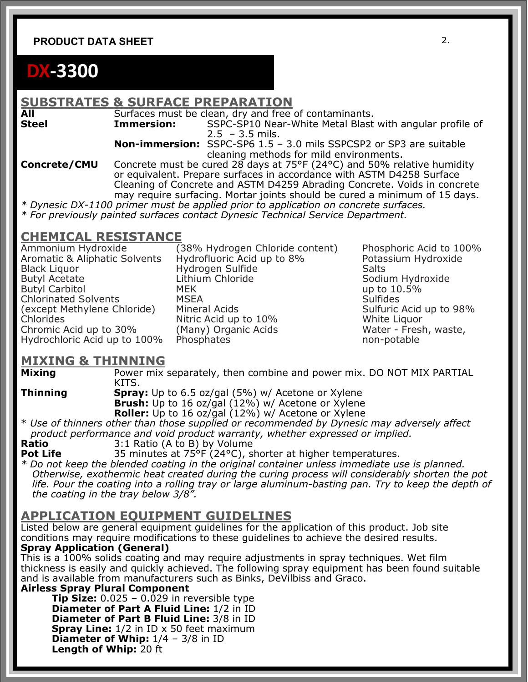#### **PRODUCT DATA SHEET** 2.

## **DX-3300**

## **SUBSTRATES & SURFACE PREPARATION**

**All Surfaces must be clean, dry and free of contaminants.**<br> **Steel Immersion:** SSPC-SP10 Near-White Metal Blast SSPC-SP10 Near-White Metal Blast with angular profile of

 $2.5 - 3.5$  mils.

 **Non-immersion:** SSPC-SP6 1.5 – 3.0 mils SSPCSP2 or SP3 are suitable cleaning methods for mild environments.

**Concrete/CMU** Concrete must be cured 28 days at 75°F (24°C) and 50% relative humidity or equivalent. Prepare surfaces in accordance with ASTM D4258 Surface Cleaning of Concrete and ASTM D4259 Abrading Concrete. Voids in concrete may require surfacing. Mortar joints should be cured a minimum of 15 days.

*\* Dynesic DX-1100 primer must be applied prior to application on concrete surfaces. \* For previously painted surfaces contact Dynesic Technical Service Department.* 

### **CHEMICAL RESISTANCE**

Ammonium Hydroxide (38% Hydrogen Chloride content) Phosphoric Acid to 100% Aromatic & Aliphatic Solvents Hydrofluoric Acid up to 8% Potassium Hydroxide Black Liquor **Salts** Hydrogen Sulfide Salts Salts Butyl Acetate **Lithium Chloride Communist Communist Communist Communist Communist Communist Communist Communist Communist Communist Communist Communist Communist Communist Communist Communist Communist Communist Communis** Butyl Carbitol MEK up to 10.5% Chlorinated Solvents (except Methylene Chloride) Mineral Acids New Sulfuric Acid up to 98% Chlorides **Nitric Acid up to 10%** White Liquor Chromic Acid up to 30% (Many) Organic Acids The Mater - Fresh, waste, Hydrochloric Acid up to 100% Phosphates non-potable

#### **MIXING & THINNING**

**Mixing** Power mix separately, then combine and power mix. DO NOT MIX PARTIAL KITS.

**Thinning Spray:** Up to 6.5 oz/gal (5%) w/ Acetone or Xylene **Brush:** Up to 16 oz/gal (12%) w/ Acetone or Xylene

**Roller:** Up to 16 oz/gal (12%) w/ Acetone or Xylene

\* *Use of thinners other than those supplied or recommended by Dynesic may adversely affect product performance and void product warranty, whether expressed or implied.* 

**Ratio** 3:1 Ratio (A to B) by Volume

**Pot Life** 35 minutes at 75°F (24°C), shorter at higher temperatures.

*\* Do not keep the blended coating in the original container unless immediate use is planned. Otherwise, exothermic heat created during the curing process will considerably shorten the pot life. Pour the coating into a rolling tray or large aluminum-basting pan. Try to keep the depth of the coating in the tray below 3/8".* 

#### **APPLICATION EQUIPMENT GUIDELINES**

Listed below are general equipment guidelines for the application of this product. Job site conditions may require modifications to these guidelines to achieve the desired results. **Spray Application (General)** 

This is a 100% solids coating and may require adjustments in spray techniques. Wet film thickness is easily and quickly achieved. The following spray equipment has been found suitable and is available from manufacturers such as Binks, DeVilbiss and Graco.

**Airless Spray Plural Component** 

**Tip Size:** 0.025 – 0.029 in reversible type **Diameter of Part A Fluid Line:** 1/2 in ID **Diameter of Part B Fluid Line:** 3/8 in ID **Spray Line:**  $1/2$  in ID x 50 feet maximum **Diameter of Whip:**  $1/4 - 3/8$  in ID **Length of Whip:** 20 ft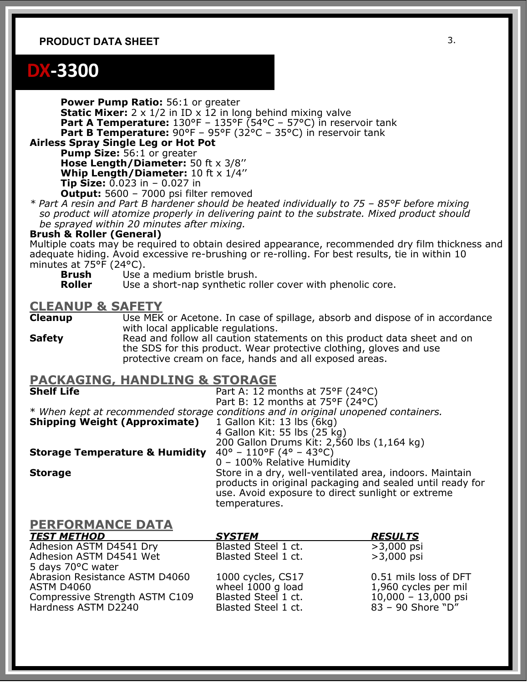#### **PRODUCT DATA SHEET** 3.

## **DX-3300**

**Power Pump Ratio:** 56:1 or greater **Static Mixer:** 2 x 1/2 in ID x 12 in long behind mixing valve **Part A Temperature:** 130°F – 135°F (54°C – 57°C) in reservoir tank **Part B Temperature:** 90°F – 95°F (32°C – 35°C) in reservoir tank

**Airless Spray Single Leg or Hot Pot Pump Size:** 56:1 or greater

**Hose Length/Diameter:** 50 ft x 3/8''

**Whip Length/Diameter:** 10 ft x 1/4''

**Tip Size:** 0.023 in – 0.027 in

**Output:** 5600 – 7000 psi filter removed

*\* Part A resin and Part B hardener should be heated individually to 75 – 85°F before mixing so product will atomize properly in delivering paint to the substrate. Mixed product should be sprayed within 20 minutes after mixing.* 

#### **Brush & Roller (General)**

Multiple coats may be required to obtain desired appearance, recommended dry film thickness and adequate hiding. Avoid excessive re-brushing or re-rolling. For best results, tie in within 10 minutes at 75°F (24°C).

**Brush** Use a medium bristle brush.<br>**Roller** Use a short-nan synthetic ro

Use a short-nap synthetic roller cover with phenolic core.

#### **CLEANUP & SAFETY**

**Cleanup** Use MEK or Acetone. In case of spillage, absorb and dispose of in accordance with local applicable regulations.

**Safety** Read and follow all caution statements on this product data sheet and on the SDS for this product. Wear protective clothing, gloves and use protective cream on face, hands and all exposed areas.

#### **PACKAGING, HANDLING & STORAGE**

**Shelf Life** Part A: 12 months at 75°F (24°C) Part B: 12 months at 75°F  $(24^{\circ}C)$ 

\* *When kept at recommended storage conditions and in original unopened containers.* 

**Shipping Weight (Approximate)** 1 Gallon Kit: 13 lbs (6kg)<br>4 Gallon Kit: 55 lbs (25 kg) 200 Gallon Drums Kit: 2,560 lbs (1,164 kg)

**Storage Temperature & Humidity** 40° – 110°F (4° – 43°C)

0 – 100% Relative Humidity **Storage Store in a dry, well-ventilated area, indoors. Maintain** products in original packaging and sealed until ready for use. Avoid exposure to direct sunlight or extreme temperatures.

#### **PERFORMANCE DATA**

| <b>TEST METHOD</b>             | <b>SYSTEM</b>       | <b>RESULTS</b>        |
|--------------------------------|---------------------|-----------------------|
| Adhesion ASTM D4541 Dry        | Blasted Steel 1 ct. | $>3,000$ psi          |
| Adhesion ASTM D4541 Wet        | Blasted Steel 1 ct. | $>3,000$ psi          |
| 5 days 70°C water              |                     |                       |
| Abrasion Resistance ASTM D4060 | 1000 cycles, CS17   | 0.51 mils loss of DFT |
| ASTM D4060                     | wheel 1000 g load   | 1,960 cycles per mil  |
| Compressive Strength ASTM C109 | Blasted Steel 1 ct. | $10,000 - 13,000$ psi |
| Hardness ASTM D2240            | Blasted Steel 1 ct. | 83 - 90 Shore "D"     |